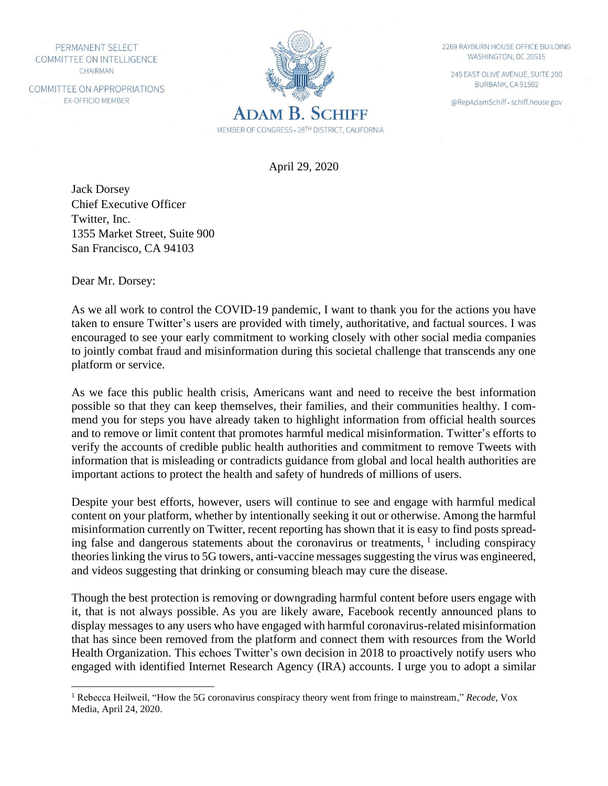PERMANENT SELECT COMMITTEE ON INTELLIGENCE CHAIRMAN

COMMITTEE ON APPROPRIATIONS **EX-OFFICIO MEMBER** 



2269 RAYBURN HOUSE OFFICE BUILDING WASHINGTON, DC 20515

245 EAST OLIVE AVENUE, SUITE 200 BURBANK, CA 91502

@RepAdamSchiff · schiff.house.gov

April 29, 2020

Jack Dorsey Chief Executive Officer Twitter, Inc. 1355 Market Street, Suite 900 San Francisco, CA 94103

Dear Mr. Dorsey:

As we all work to control the COVID-19 pandemic, I want to thank you for the actions you have taken to ensure Twitter's users are provided with timely, authoritative, and factual sources. I was encouraged to see your early commitment to working closely with other social media companies to jointly combat fraud and misinformation during this societal challenge that transcends any one platform or service.

As we face this public health crisis, Americans want and need to receive the best information possible so that they can keep themselves, their families, and their communities healthy. I commend you for steps you have already taken to highlight information from official health sources and to remove or limit content that promotes harmful medical misinformation. Twitter's efforts to verify the accounts of credible public health authorities and commitment to remove Tweets with information that is misleading or contradicts guidance from global and local health authorities are important actions to protect the health and safety of hundreds of millions of users.

Despite your best efforts, however, users will continue to see and engage with harmful medical content on your platform, whether by intentionally seeking it out or otherwise. Among the harmful misinformation currently on Twitter, recent reporting has shown that it is easy to find posts spreading false and dangerous statements about the coronavirus or treatments,  $\frac{1}{1}$  including conspiracy theories linking the virus to 5G towers, anti-vaccine messages suggesting the virus was engineered, and videos suggesting that drinking or consuming bleach may cure the disease.

Though the best protection is removing or downgrading harmful content before users engage with it, that is not always possible. As you are likely aware, Facebook recently announced plans to display messages to any users who have engaged with harmful coronavirus-related misinformation that has since been removed from the platform and connect them with resources from the World Health Organization. This echoes Twitter's own decision in 2018 to proactively notify users who engaged with identified Internet Research Agency (IRA) accounts. I urge you to adopt a similar

<sup>1</sup> Rebecca Heilweil, "How the 5G coronavirus conspiracy theory went from fringe to mainstream," *Recode*, Vox Media, April 24, 2020.